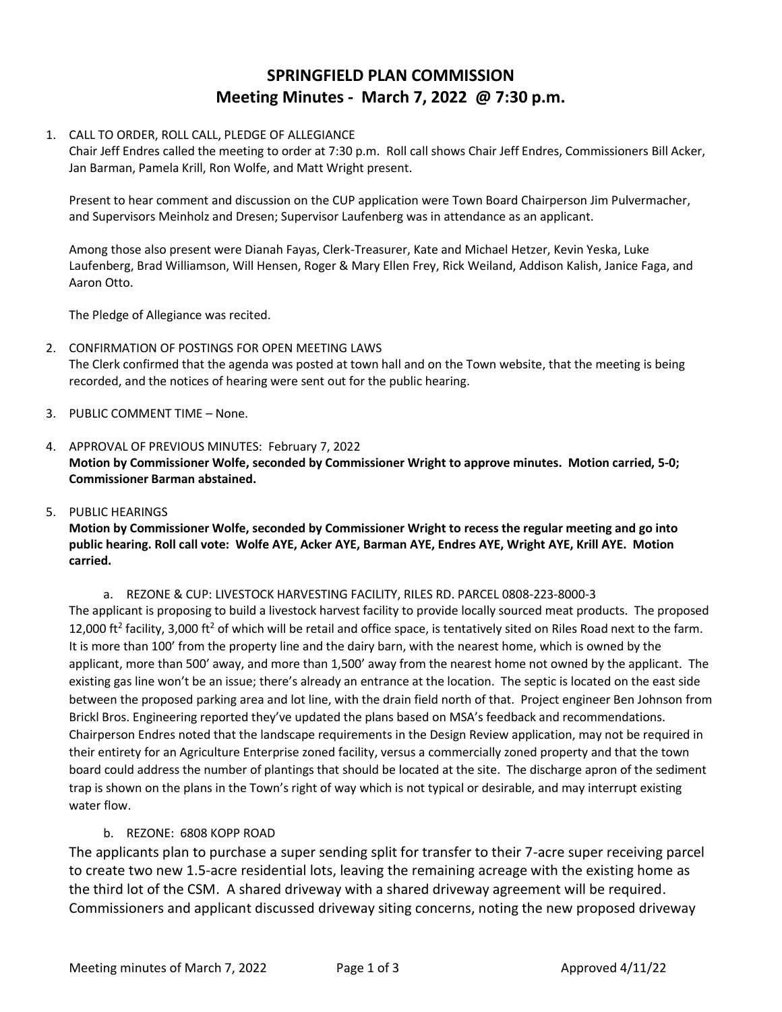# **SPRINGFIELD PLAN COMMISSION Meeting Minutes - March 7, 2022 @ 7:30 p.m.**

### 1. CALL TO ORDER, ROLL CALL, PLEDGE OF ALLEGIANCE

Chair Jeff Endres called the meeting to order at 7:30 p.m. Roll call shows Chair Jeff Endres, Commissioners Bill Acker, Jan Barman, Pamela Krill, Ron Wolfe, and Matt Wright present.

Present to hear comment and discussion on the CUP application were Town Board Chairperson Jim Pulvermacher, and Supervisors Meinholz and Dresen; Supervisor Laufenberg was in attendance as an applicant.

Among those also present were Dianah Fayas, Clerk-Treasurer, Kate and Michael Hetzer, Kevin Yeska, Luke Laufenberg, Brad Williamson, Will Hensen, Roger & Mary Ellen Frey, Rick Weiland, Addison Kalish, Janice Faga, and Aaron Otto.

The Pledge of Allegiance was recited.

- 2. CONFIRMATION OF POSTINGS FOR OPEN MEETING LAWS The Clerk confirmed that the agenda was posted at town hall and on the Town website, that the meeting is being recorded, and the notices of hearing were sent out for the public hearing.
- 3. PUBLIC COMMENT TIME None.
- 4. APPROVAL OF PREVIOUS MINUTES: February 7, 2022 **Motion by Commissioner Wolfe, seconded by Commissioner Wright to approve minutes. Motion carried, 5-0; Commissioner Barman abstained.**
- 5. PUBLIC HEARINGS

# **Motion by Commissioner Wolfe, seconded by Commissioner Wright to recess the regular meeting and go into public hearing. Roll call vote: Wolfe AYE, Acker AYE, Barman AYE, Endres AYE, Wright AYE, Krill AYE. Motion carried.**

a. REZONE & CUP: LIVESTOCK HARVESTING FACILITY, RILES RD. PARCEL 0808-223-8000-3 The applicant is proposing to build a livestock harvest facility to provide locally sourced meat products. The proposed 12,000 ft<sup>2</sup> facility, 3,000 ft<sup>2</sup> of which will be retail and office space, is tentatively sited on Riles Road next to the farm. It is more than 100' from the property line and the dairy barn, with the nearest home, which is owned by the applicant, more than 500' away, and more than 1,500' away from the nearest home not owned by the applicant. The existing gas line won't be an issue; there's already an entrance at the location. The septic is located on the east side between the proposed parking area and lot line, with the drain field north of that. Project engineer Ben Johnson from Brickl Bros. Engineering reported they've updated the plans based on MSA's feedback and recommendations. Chairperson Endres noted that the landscape requirements in the Design Review application, may not be required in their entirety for an Agriculture Enterprise zoned facility, versus a commercially zoned property and that the town board could address the number of plantings that should be located at the site. The discharge apron of the sediment trap is shown on the plans in the Town's right of way which is not typical or desirable, and may interrupt existing water flow.

## b. REZONE: 6808 KOPP ROAD

The applicants plan to purchase a super sending split for transfer to their 7-acre super receiving parcel to create two new 1.5-acre residential lots, leaving the remaining acreage with the existing home as the third lot of the CSM. A shared driveway with a shared driveway agreement will be required. Commissioners and applicant discussed driveway siting concerns, noting the new proposed driveway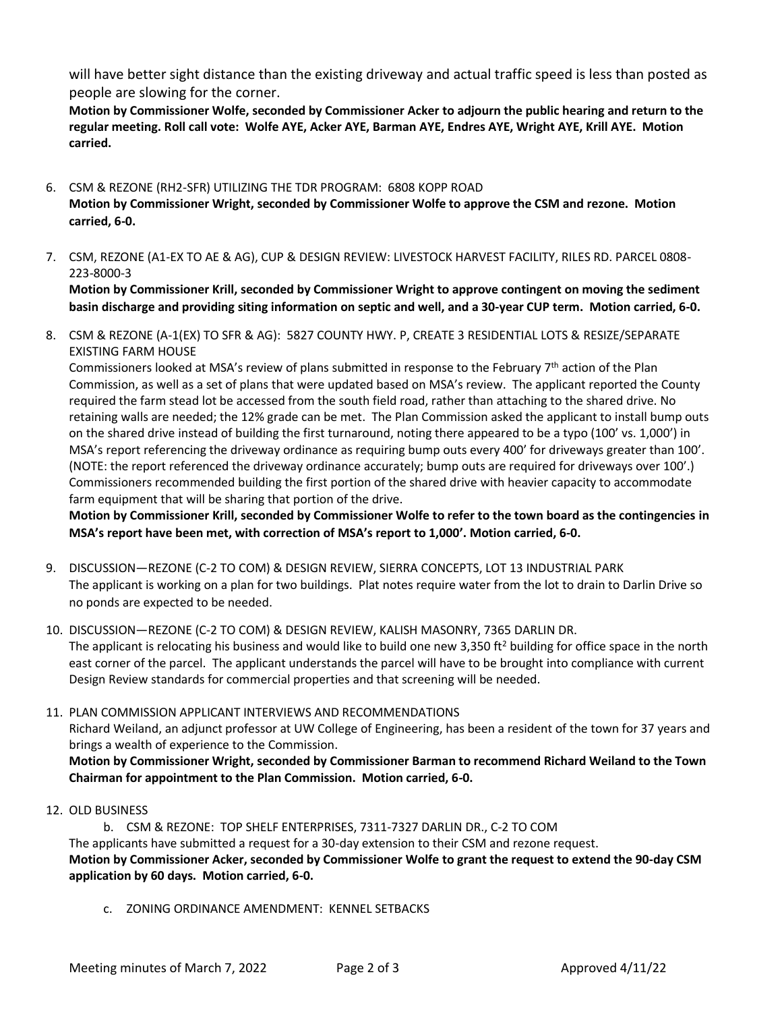will have better sight distance than the existing driveway and actual traffic speed is less than posted as people are slowing for the corner.

**Motion by Commissioner Wolfe, seconded by Commissioner Acker to adjourn the public hearing and return to the regular meeting. Roll call vote: Wolfe AYE, Acker AYE, Barman AYE, Endres AYE, Wright AYE, Krill AYE. Motion carried.**

- 6. CSM & REZONE (RH2-SFR) UTILIZING THE TDR PROGRAM: 6808 KOPP ROAD **Motion by Commissioner Wright, seconded by Commissioner Wolfe to approve the CSM and rezone. Motion carried, 6-0.**
- 7. CSM, REZONE (A1-EX TO AE & AG), CUP & DESIGN REVIEW: LIVESTOCK HARVEST FACILITY, RILES RD. PARCEL 0808- 223-8000-3

**Motion by Commissioner Krill, seconded by Commissioner Wright to approve contingent on moving the sediment basin discharge and providing siting information on septic and well, and a 30-year CUP term. Motion carried, 6-0.**

8. CSM & REZONE (A-1(EX) TO SFR & AG): 5827 COUNTY HWY. P, CREATE 3 RESIDENTIAL LOTS & RESIZE/SEPARATE EXISTING FARM HOUSE

Commissioners looked at MSA's review of plans submitted in response to the February 7<sup>th</sup> action of the Plan Commission, as well as a set of plans that were updated based on MSA's review. The applicant reported the County required the farm stead lot be accessed from the south field road, rather than attaching to the shared drive. No retaining walls are needed; the 12% grade can be met. The Plan Commission asked the applicant to install bump outs on the shared drive instead of building the first turnaround, noting there appeared to be a typo (100' vs. 1,000') in MSA's report referencing the driveway ordinance as requiring bump outs every 400' for driveways greater than 100'. (NOTE: the report referenced the driveway ordinance accurately; bump outs are required for driveways over 100'.) Commissioners recommended building the first portion of the shared drive with heavier capacity to accommodate farm equipment that will be sharing that portion of the drive.

**Motion by Commissioner Krill, seconded by Commissioner Wolfe to refer to the town board as the contingencies in MSA's report have been met, with correction of MSA's report to 1,000'. Motion carried, 6-0.**

- 9. DISCUSSION—REZONE (C-2 TO COM) & DESIGN REVIEW, SIERRA CONCEPTS, LOT 13 INDUSTRIAL PARK The applicant is working on a plan for two buildings. Plat notes require water from the lot to drain to Darlin Drive so no ponds are expected to be needed.
- 10. DISCUSSION—REZONE (C-2 TO COM) & DESIGN REVIEW, KALISH MASONRY, 7365 DARLIN DR. The applicant is relocating his business and would like to build one new 3,350 ft<sup>2</sup> building for office space in the north east corner of the parcel. The applicant understands the parcel will have to be brought into compliance with current Design Review standards for commercial properties and that screening will be needed.
- 11. PLAN COMMISSION APPLICANT INTERVIEWS AND RECOMMENDATIONS Richard Weiland, an adjunct professor at UW College of Engineering, has been a resident of the town for 37 years and brings a wealth of experience to the Commission. **Motion by Commissioner Wright, seconded by Commissioner Barman to recommend Richard Weiland to the Town Chairman for appointment to the Plan Commission. Motion carried, 6-0.**
- 12. OLD BUSINESS

b. CSM & REZONE: TOP SHELF ENTERPRISES, 7311-7327 DARLIN DR., C-2 TO COM The applicants have submitted a request for a 30-day extension to their CSM and rezone request. **Motion by Commissioner Acker, seconded by Commissioner Wolfe to grant the request to extend the 90-day CSM application by 60 days. Motion carried, 6-0.**

c. ZONING ORDINANCE AMENDMENT: KENNEL SETBACKS